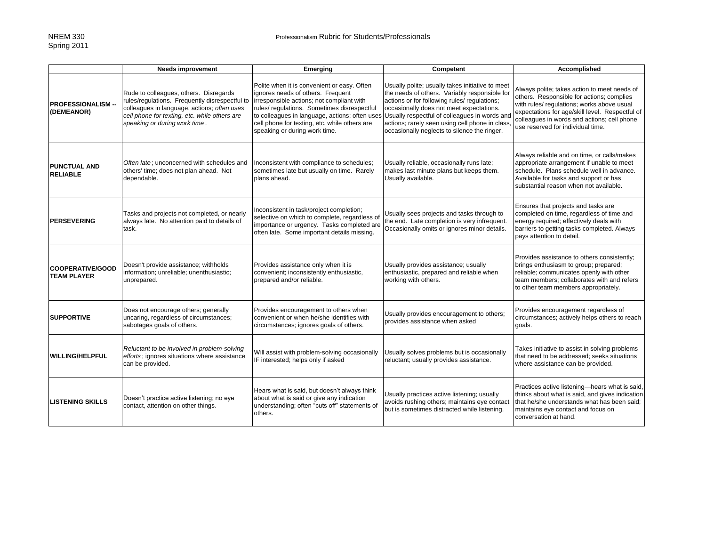|                                               | <b>Needs improvement</b>                                                                                                                                                                                                  | Emerging                                                                                                                                                                                                                                                       | Competent                                                                                                                                                                                                                                                                                                                                                                                       | Accomplished                                                                                                                                                                                                                                                                   |
|-----------------------------------------------|---------------------------------------------------------------------------------------------------------------------------------------------------------------------------------------------------------------------------|----------------------------------------------------------------------------------------------------------------------------------------------------------------------------------------------------------------------------------------------------------------|-------------------------------------------------------------------------------------------------------------------------------------------------------------------------------------------------------------------------------------------------------------------------------------------------------------------------------------------------------------------------------------------------|--------------------------------------------------------------------------------------------------------------------------------------------------------------------------------------------------------------------------------------------------------------------------------|
| <b>PROFESSIONALISM --</b><br>(DEMEANOR)       | Rude to colleagues, others. Disregards<br>rules/regulations. Frequently disrespectful to<br>colleagues in language, actions; often uses<br>cell phone for texting, etc. while others are<br>speaking or during work time. | Polite when it is convenient or easy. Often<br>ignores needs of others. Frequent<br>irresponsible actions; not compliant with<br>rules/ regulations. Sometimes disrespectful<br>cell phone for texting, etc. while others are<br>speaking or during work time. | Usually polite; usually takes initiative to meet<br>the needs of others. Variably responsible for<br>actions or for following rules/ regulations;<br>occasionally does not meet expectations.<br>to colleagues in language, actions; often uses Usually respectful of colleagues in words and<br>actions; rarely seen using cell phone in class<br>occasionally neglects to silence the ringer. | Always polite; takes action to meet needs of<br>others. Responsible for actions; complies<br>with rules/ regulations; works above usual<br>expectations for age/skill level. Respectful of<br>colleagues in words and actions; cell phone<br>use reserved for individual time. |
| <b>PUNCTUAL AND</b><br><b>RELIABLE</b>        | Often late: unconcerned with schedules and<br>others' time; does not plan ahead. Not<br>dependable.                                                                                                                       | Inconsistent with compliance to schedules;<br>sometimes late but usually on time. Rarely<br>plans ahead.                                                                                                                                                       | Usually reliable, occasionally runs late;<br>makes last minute plans but keeps them.<br>Usually available.                                                                                                                                                                                                                                                                                      | Always reliable and on time, or calls/makes<br>appropriate arrangement if unable to meet<br>schedule. Plans schedule well in advance.<br>Available for tasks and support or has<br>substantial reason when not available.                                                      |
| <b>PERSEVERING</b>                            | Tasks and projects not completed, or nearly<br>always late. No attention paid to details of<br>task.                                                                                                                      | Inconsistent in task/project completion;<br>selective on which to complete, regardless of<br>importance or urgency. Tasks completed are<br>often late. Some important details missing.                                                                         | Usually sees projects and tasks through to<br>the end. Late completion is very infrequent.<br>Occasionally omits or ignores minor details.                                                                                                                                                                                                                                                      | Ensures that projects and tasks are<br>completed on time, regardless of time and<br>energy required; effectively deals with<br>barriers to getting tasks completed. Always<br>pays attention to detail.                                                                        |
| <b>COOPERATIVE/GOOD</b><br><b>TEAM PLAYER</b> | Doesn't provide assistance; withholds<br>information; unreliable; unenthusiastic;<br>unprepared.                                                                                                                          | Provides assistance only when it is<br>convenient; inconsistently enthusiastic,<br>prepared and/or reliable.                                                                                                                                                   | Usually provides assistance; usually<br>enthusiastic, prepared and reliable when<br>working with others.                                                                                                                                                                                                                                                                                        | Provides assistance to others consistently;<br>brings enthusiasm to group; prepared;<br>reliable; communicates openly with other<br>team members; collaborates with and refers<br>to other team members appropriately.                                                         |
| <b>SUPPORTIVE</b>                             | Does not encourage others; generally<br>uncaring, regardless of circumstances;<br>sabotages goals of others.                                                                                                              | Provides encouragement to others when<br>convenient or when he/she identifies with<br>circumstances; ignores goals of others.                                                                                                                                  | Usually provides encouragement to others;<br>provides assistance when asked                                                                                                                                                                                                                                                                                                                     | Provides encouragement regardless of<br>circumstances; actively helps others to reach<br>goals.                                                                                                                                                                                |
| <b>WILLING/HELPFUL</b>                        | Reluctant to be involved in problem-solving<br>efforts; ignores situations where assistance<br>can be provided.                                                                                                           | Will assist with problem-solving occasionally<br>IF interested; helps only if asked                                                                                                                                                                            | Usually solves problems but is occasionally<br>reluctant; usually provides assistance.                                                                                                                                                                                                                                                                                                          | Takes initiative to assist in solving problems<br>that need to be addressed; seeks situations<br>where assistance can be provided.                                                                                                                                             |
| <b>LISTENING SKILLS</b>                       | Doesn't practice active listening; no eye<br>contact, attention on other things.                                                                                                                                          | Hears what is said, but doesn't always think<br>about what is said or give any indication<br>understanding; often "cuts off" statements of<br>others.                                                                                                          | Usually practices active listening; usually<br>avoids rushing others; maintains eye contact<br>but is sometimes distracted while listening.                                                                                                                                                                                                                                                     | Practices active listening-hears what is said,<br>thinks about what is said, and gives indication<br>that he/she understands what has been said;<br>maintains eye contact and focus on<br>conversation at hand.                                                                |